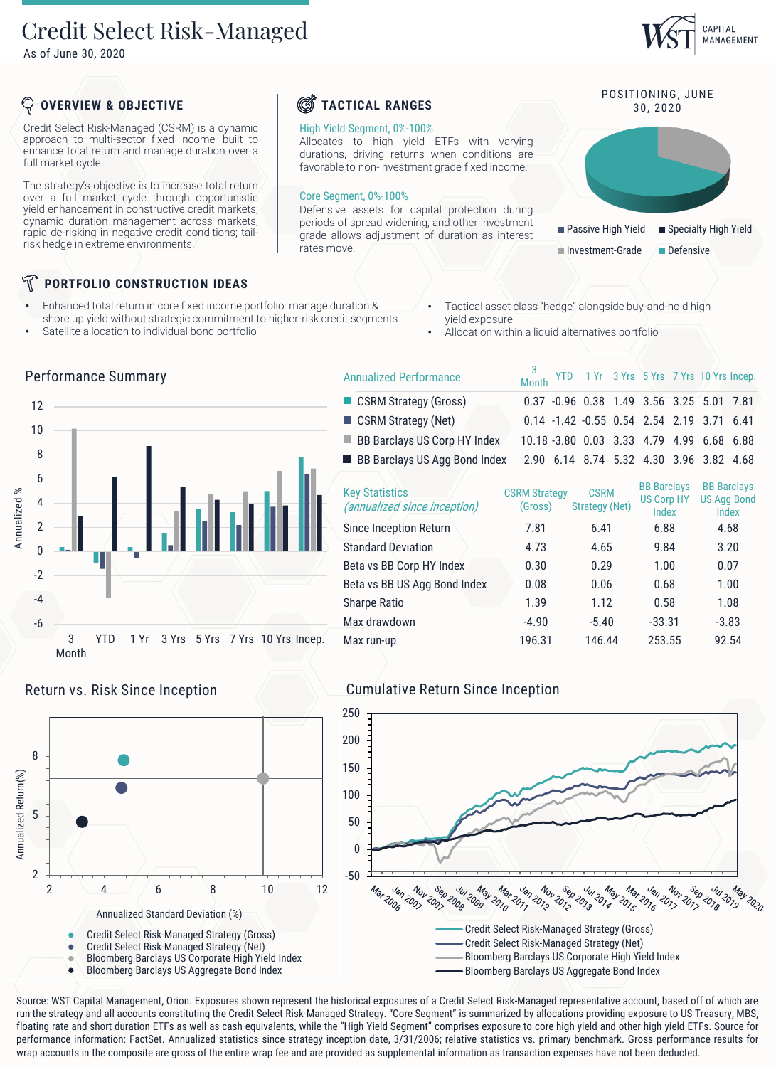# Credit Select Risk-Managed

As of June 30, 2020

## CAPITAL MANAGEMENT

## **OVERVIEW & OBJECTIVE**

Credit Select Risk-Managed (CSRM) is a dynamic approach to multi-sector fixed income, built to enhance total return and manage duration over a full market cycle.

The strategy's objective is to increase total return over a full market cycle through opportunistic yield enhancement in constructive credit markets; dynamic duration management across markets; rapid de-risking in negative credit conditions; tailrisk hedge in extreme environments.

## **PORTFOLIO CONSTRUCTION IDEAS**

- Enhanced total return in core fixed income portfolio: manage duration & shore up yield without strategic commitment to higher-risk credit segments
- Satellite allocation to individual bond portfolio

Performance Summary

- Tactical asset class "hedge" alongside buy-and-hold high yield exposure
- Allocation within a liquid alternatives portfolio

3<br>Month

|                                          | Performance Summary                                            | <b>Annualized Performance</b>                         | <b>YTD</b><br><b>Month</b>      | 1 Yr                                    | 3 Yrs 5 Yrs 7 Yrs 10 Yrs Inc                     |                                      |
|------------------------------------------|----------------------------------------------------------------|-------------------------------------------------------|---------------------------------|-----------------------------------------|--------------------------------------------------|--------------------------------------|
| 12                                       |                                                                | CSRM Strategy (Gross)                                 |                                 | 0.37 -0.96 0.38 1.49 3.56 3.25 5.01 7.  |                                                  |                                      |
|                                          |                                                                | CSRM Strategy (Net)                                   |                                 | 0.14 -1.42 -0.55 0.54 2.54 2.19         |                                                  | $3.71\quad 6.$                       |
| 10                                       |                                                                | <b>BB Barclays US Corp HY Index</b>                   |                                 | 10.18 -3.80 0.03 3.33 4.79 4.99 6.68 6. |                                                  |                                      |
| 8                                        |                                                                | <b>BB Barclays US Agg Bond Index</b>                  |                                 | 2.90 6.14 8.74 5.32 4.30 3.96 3.82 4.   |                                                  |                                      |
| 6<br>Annualized %<br>4<br>$\overline{2}$ |                                                                | <b>Key Statistics</b><br>(annualized since inception) | <b>CSRM Strategy</b><br>(Gross) | <b>CSRM</b><br><b>Strategy (Net)</b>    | <b>BB</b> Barclays<br><b>US Corp HY</b><br>Index | <b>BB</b> Barck<br>US Agg B<br>Index |
|                                          |                                                                | <b>Since Inception Return</b>                         | 7.81                            | 6.41                                    | 6.88                                             | 4.68                                 |
|                                          |                                                                | <b>Standard Deviation</b>                             | 4.73                            | 4.65                                    | 9.84                                             | 3.20                                 |
| $-2$                                     | $\mathbb{R}^n$                                                 | Beta vs BB Corp HY Index                              | 0.30                            | 0.29                                    | 1.00                                             | 0.07                                 |
|                                          |                                                                | Beta vs BB US Agg Bond Index                          | 0.08                            | 0.06                                    | 0.68                                             | 1.00                                 |
| $-4$<br>$-6$                             |                                                                | Sharpe Ratio                                          | 1.39                            | 1.12                                    | 0.58                                             | 1.08                                 |
|                                          |                                                                | Max drawdown                                          | $-4.90$                         | $-5.40$                                 | $-33.31$                                         | $-3.83$                              |
|                                          | 3 Yrs 5 Yrs 7 Yrs 10 Yrs Incep.<br><b>YTD</b><br>1 Yr<br>Month | Max run-up                                            | 196.31                          | 146.44                                  | 253.55                                           | 92.54                                |



## Return vs. Risk Since Inception Cumulative Return Since Inception



Source: WST Capital Management, Orion. Exposures shown represent the historical exposures of a Credit Select Risk-Managed representative account, based off of which are run the strategy and all accounts constituting the Credit Select Risk-Managed Strategy. "Core Segment" is summarized by allocations providing exposure to US Treasury, MBS, floating rate and short duration ETFs as well as cash equivalents, while the "High Yield Segment" comprises exposure to core high yield and other high yield ETFs. Source for performance information: FactSet. Annualized statistics since strategy inception date, 3/31/2006; relative statistics vs. primary benchmark. Gross performance results for



## *C* TACTICAL RANGES 30, 2020

### High Yield Segment, 0%-100%

Allocates to high yield ETFs with varying durations, driving returns when conditions are favorable to non-investment grade fixed income.

#### Core Segment, 0%-100%

Defensive assets for capital protection during periods of spread widening, and other investment grade allows adjustment of duration as interest rates move.



YTD 1 Yr 3 Yrs 5 Yrs 7 Yrs 10 Yrs Incep.

POSITIONING, JUNE

Investment-Grade Defensive